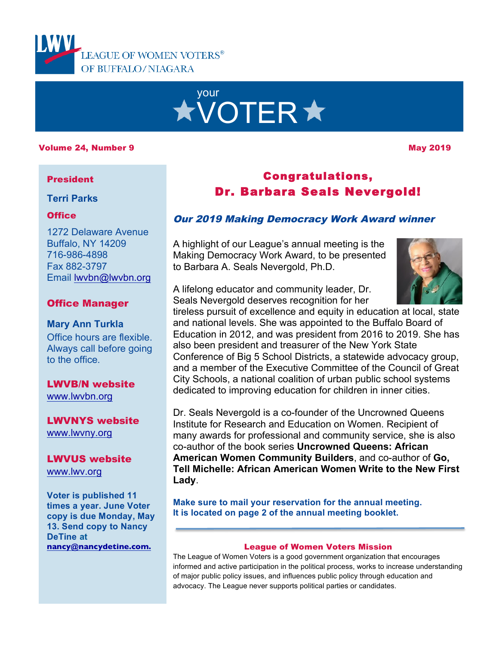

# your **XVOTER \***

### Volume 24, Number 9 May 2019 19: A Series of the Series of the May 2019 19: A Series of the May 2019

### President

**Terri Parks**

### **Office**

1272 Delaware Avenue Buffalo, NY 14209 716-986-4898 Fax 882-3797 Email lwvbn@lwvbn.org

### Office Manager

**Mary Ann Turkla** Office hours are flexible. Always call before going to the office.

LWVB/N website www.lwvbn.org

LWVNYS website www.lwvny.org

### LWVUS website

www.lwv.org

**Voter is published 11 times a year. June Voter copy is due Monday, May 13. Send copy to Nancy DeTine at nancy@nancydetine.com.**

# Congratulations, Dr. Barbara Seals Nevergold!

### Our 2019 Making Democracy Work Award winner

A highlight of our League's annual meeting is the Making Democracy Work Award, to be presented to Barbara A. Seals Nevergold, Ph.D.



A lifelong educator and community leader, Dr. Seals Nevergold deserves recognition for her

tireless pursuit of excellence and equity in education at local, state and national levels. She was appointed to the Buffalo Board of Education in 2012, and was president from 2016 to 2019. She has also been president and treasurer of the New York State Conference of Big 5 School Districts, a statewide advocacy group, and a member of the Executive Committee of the Council of Great City Schools, a national coalition of urban public school systems dedicated to improving education for children in inner cities.

Dr. Seals Nevergold is a co-founder of the Uncrowned Queens Institute for Research and Education on Women. Recipient of many awards for professional and community service, she is also co-author of the book series **Uncrowned Queens: African American Women Community Builders**, and co-author of **Go, Tell Michelle: African American Women Write to the New First Lady**.

**Make sure to mail your reservation for the annual meeting. It is located on page 2 of the annual meeting booklet.**

### League of Women Voters Mission

The League of Women Voters is a good government organization that encourages informed and active participation in the political process, works to increase understanding of major public policy issues, and influences public policy through education and advocacy. The League never supports political parties or candidates.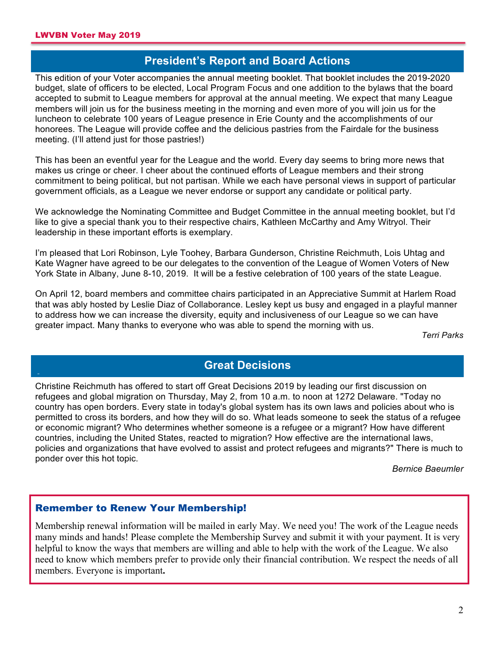### **President's Report and Board Actions**

This edition of your Voter accompanies the annual meeting booklet. That booklet includes the 2019-2020 budget, slate of officers to be elected, Local Program Focus and one addition to the bylaws that the board accepted to submit to League members for approval at the annual meeting. We expect that many League members will join us for the business meeting in the morning and even more of you will join us for the luncheon to celebrate 100 years of League presence in Erie County and the accomplishments of our honorees. The League will provide coffee and the delicious pastries from the Fairdale for the business meeting. (I'll attend just for those pastries!)

This has been an eventful year for the League and the world. Every day seems to bring more news that makes us cringe or cheer. I cheer about the continued efforts of League members and their strong commitment to being political, but not partisan. While we each have personal views in support of particular government officials, as a League we never endorse or support any candidate or political party.

We acknowledge the Nominating Committee and Budget Committee in the annual meeting booklet, but I'd like to give a special thank you to their respective chairs, Kathleen McCarthy and Amy Witryol. Their leadership in these important efforts is exemplary.

I'm pleased that Lori Robinson, Lyle Toohey, Barbara Gunderson, Christine Reichmuth, Lois Uhtag and Kate Wagner have agreed to be our delegates to the convention of the League of Women Voters of New York State in Albany, June 8-10, 2019. It will be a festive celebration of 100 years of the state League.

On April 12, board members and committee chairs participated in an Appreciative Summit at Harlem Road that was ably hosted by Leslie Diaz of Collaborance. Lesley kept us busy and engaged in a playful manner to address how we can increase the diversity, equity and inclusiveness of our League so we can have greater impact. Many thanks to everyone who was able to spend the morning with us.

*Terri Parks*

### **Great Decisions**

**A** Christine Reichmuth has offered to start off Great Decisions 2019 by leading our first discussion on refugees and global migration on Thursday, May 2, from 10 a.m. to noon at 1272 Delaware. "Today no country has open borders. Every state in today's global system has its own laws and policies about who is permitted to cross its borders, and how they will do so. What leads someone to seek the status of a refugee or economic migrant? Who determines whether someone is a refugee or a migrant? How have different countries, including the United States, reacted to migration? How effective are the international laws, policies and organizations that have evolved to assist and protect refugees and migrants?" There is much to ponder over this hot topic.

*Bernice Baeumler*

### Remember to Renew Your Membership!

Membership renewal information will be mailed in early May. We need you! The work of the League needs many minds and hands! Please complete the Membership Survey and submit it with your payment. It is very helpful to know the ways that members are willing and able to help with the work of the League. We also need to know which members prefer to provide only their financial contribution. We respect the needs of all members. Everyone is important**.**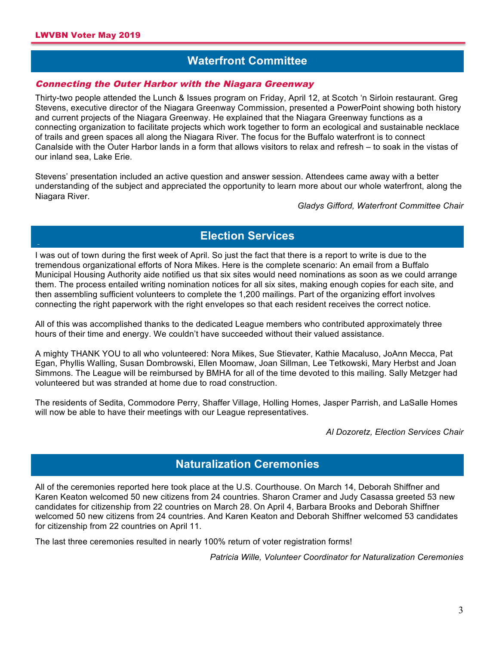# **Waterfront Committee**

#### **A** Connecting the Outer Harbor with the Niagara Greenway

Thirty-two people attended the Lunch & Issues program on Friday, April 12, at Scotch 'n Sirloin restaurant. Greg Stevens, executive director of the Niagara Greenway Commission, presented a PowerPoint showing both history and current projects of the Niagara Greenway. He explained that the Niagara Greenway functions as a connecting organization to facilitate projects which work together to form an ecological and sustainable necklace of trails and green spaces all along the Niagara River. The focus for the Buffalo waterfront is to connect Canalside with the Outer Harbor lands in a form that allows visitors to relax and refresh – to soak in the vistas of our inland sea, Lake Erie.

Stevens' presentation included an active question and answer session. Attendees came away with a better understanding of the subject and appreciated the opportunity to learn more about our whole waterfront, along the Niagara River.

*Gladys Gifford, Waterfront Committee Chair*

# **Election Services**

**A** I was out of town during the first week of April. So just the fact that there is a report to write is due to the tremendous organizational efforts of Nora Mikes. Here is the complete scenario: An email from a Buffalo Municipal Housing Authority aide notified us that six sites would need nominations as soon as we could arrange them. The process entailed writing nomination notices for all six sites, making enough copies for each site, and then assembling sufficient volunteers to complete the 1,200 mailings. Part of the organizing effort involves connecting the right paperwork with the right envelopes so that each resident receives the correct notice.

All of this was accomplished thanks to the dedicated League members who contributed approximately three hours of their time and energy. We couldn't have succeeded without their valued assistance.

A mighty THANK YOU to all who volunteered: Nora Mikes, Sue Stievater, Kathie Macaluso, JoAnn Mecca, Pat Egan, Phyllis Walling, Susan Dombrowski, Ellen Moomaw, Joan Sillman, Lee Tetkowski, Mary Herbst and Joan Simmons. The League will be reimbursed by BMHA for all of the time devoted to this mailing. Sally Metzger had volunteered but was stranded at home due to road construction.

The residents of Sedita, Commodore Perry, Shaffer Village, Holling Homes, Jasper Parrish, and LaSalle Homes will now be able to have their meetings with our League representatives.

*Al Dozoretz, Election Services Chair*

### **Naturalization Ceremonies**

**A** All of the ceremonies reported here took place at the U.S. Courthouse. On March 14, Deborah Shiffner and Karen Keaton welcomed 50 new citizens from 24 countries. Sharon Cramer and Judy Casassa greeted 53 new candidates for citizenship from 22 countries on March 28. On April 4, Barbara Brooks and Deborah Shiffner welcomed 50 new citizens from 24 countries. And Karen Keaton and Deborah Shiffner welcomed 53 candidates for citizenship from 22 countries on April 11.

The last three ceremonies resulted in nearly 100% return of voter registration forms!

*Patricia Wille, Volunteer Coordinator for Naturalization Ceremonies*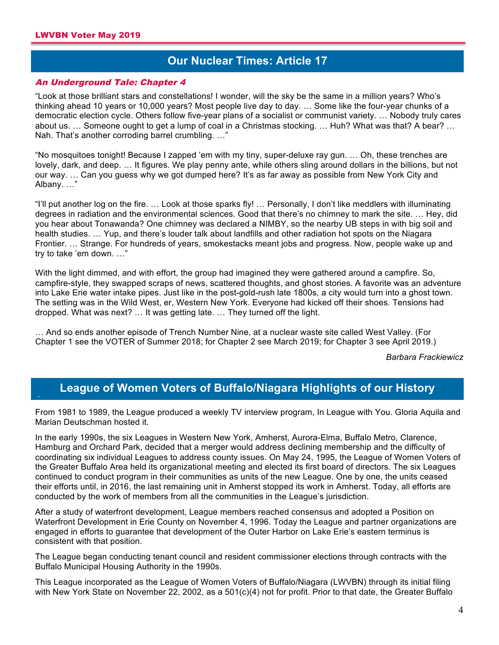**A**

### **Our Nuclear Times: Article 17 a**

#### An Underground Tale: Chapter 4

"Look at those brilliant stars and constellations! I wonder, will the sky be the same in a million years? Who's thinking ahead 10 years or 10,000 years? Most people live day to day. … Some like the four-year chunks of a democratic election cycle. Others follow five-year plans of a socialist or communist variety. … Nobody truly cares about us. … Someone ought to get a lump of coal in a Christmas stocking. … Huh? What was that? A bear? … Nah. That's another corroding barrel crumbling. …"

"No mosquitoes tonight! Because I zapped 'em with my tiny, super-deluxe ray gun. … Oh, these trenches are lovely, dark, and deep. … It figures. We play penny ante, while others sling around dollars in the billions, but not our way. ... Can you guess why we got dumped here? It's as far away as possible from New York City and Albany. …"

"I'll put another log on the fire. … Look at those sparks fly! … Personally, I don't like meddlers with illuminating degrees in radiation and the environmental sciences. Good that there's no chimney to mark the site. … Hey, did you hear about Tonawanda? One chimney was declared a NIMBY, so the nearby UB steps in with big soil and health studies. … Yup, and there's louder talk about landfills and other radiation hot spots on the Niagara Frontier. … Strange. For hundreds of years, smokestacks meant jobs and progress. Now, people wake up and try to take 'em down. …"

With the light dimmed, and with effort, the group had imagined they were gathered around a campfire. So, campfire-style, they swapped scraps of news, scattered thoughts, and ghost stories. A favorite was an adventure into Lake Erie water intake pipes. Just like in the post-gold-rush late 1800s, a city would turn into a ghost town. The setting was in the Wild West, er, Western New York. Everyone had kicked off their shoes. Tensions had dropped. What was next? … It was getting late. … They turned off the light.

… And so ends another episode of Trench Number Nine, at a nuclear waste site called West Valley. (For Chapter 1 see the VOTER of Summer 2018; for Chapter 2 see March 2019; for Chapter 3 see April 2019.)

*Barbara Frackiewicz*

# **League of Women Voters of Buffalo/Niagara Highlights of our History**

From 1981 to 1989, the League produced a weekly TV interview program, In League with You. Gloria Aquila and Marian Deutschman hosted it.

In the early 1990s, the six Leagues in Western New York, Amherst, Aurora-Elma, Buffalo Metro, Clarence, Hamburg and Orchard Park, decided that a merger would address declining membership and the difficulty of coordinating six individual Leagues to address county issues. On May 24, 1995, the League of Women Voters of the Greater Buffalo Area held its organizational meeting and elected its first board of directors. The six Leagues continued to conduct program in their communities as units of the new League. One by one, the units ceased their efforts until, in 2016, the last remaining unit in Amherst stopped its work in Amherst. Today, all efforts are conducted by the work of members from all the communities in the League's jurisdiction.

After a study of waterfront development, League members reached consensus and adopted a Position on Waterfront Development in Erie County on November 4, 1996. Today the League and partner organizations are engaged in efforts to guarantee that development of the Outer Harbor on Lake Erie's eastern terminus is consistent with that position.

The League began conducting tenant council and resident commissioner elections through contracts with the Buffalo Municipal Housing Authority in the 1990s.

This League incorporated as the League of Women Voters of Buffalo/Niagara (LWVBN) through its initial filing with New York State on November 22, 2002, as a 501(c)(4) not for profit. Prior to that date, the Greater Buffalo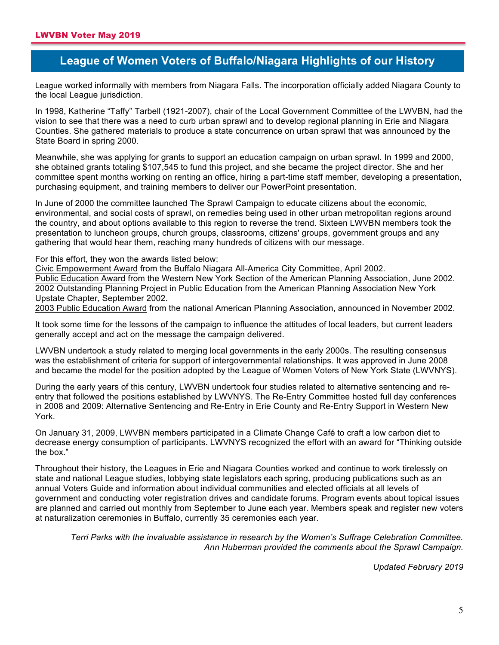**A**

# **League of Women Voters of Buffalo/Niagara Highlights of our History**

League worked informally with members from Niagara Falls. The incorporation officially added Niagara County to the local League jurisdiction.

In 1998, Katherine "Taffy" Tarbell (1921-2007), chair of the Local Government Committee of the LWVBN, had the vision to see that there was a need to curb urban sprawl and to develop regional planning in Erie and Niagara Counties. She gathered materials to produce a state concurrence on urban sprawl that was announced by the State Board in spring 2000.

Meanwhile, she was applying for grants to support an education campaign on urban sprawl. In 1999 and 2000, she obtained grants totaling \$107,545 to fund this project, and she became the project director. She and her committee spent months working on renting an office, hiring a part-time staff member, developing a presentation, purchasing equipment, and training members to deliver our PowerPoint presentation.

In June of 2000 the committee launched The Sprawl Campaign to educate citizens about the economic, environmental, and social costs of sprawl, on remedies being used in other urban metropolitan regions around the country, and about options available to this region to reverse the trend. Sixteen LWVBN members took the presentation to luncheon groups, church groups, classrooms, citizens' groups, government groups and any gathering that would hear them, reaching many hundreds of citizens with our message.

For this effort, they won the awards listed below:

Civic Empowerment Award from the Buffalo Niagara All-America City Committee, April 2002. Public Education Award from the Western New York Section of the American Planning Association, June 2002. 2002 Outstanding Planning Project in Public Education from the American Planning Association New York Upstate Chapter, September 2002.

2003 Public Education Award from the national American Planning Association, announced in November 2002.

It took some time for the lessons of the campaign to influence the attitudes of local leaders, but current leaders generally accept and act on the message the campaign delivered.

LWVBN undertook a study related to merging local governments in the early 2000s. The resulting consensus was the establishment of criteria for support of intergovernmental relationships. It was approved in June 2008 and became the model for the position adopted by the League of Women Voters of New York State (LWVNYS).

During the early years of this century, LWVBN undertook four studies related to alternative sentencing and reentry that followed the positions established by LWVNYS. The Re-Entry Committee hosted full day conferences in 2008 and 2009: Alternative Sentencing and Re-Entry in Erie County and Re-Entry Support in Western New York.

On January 31, 2009, LWVBN members participated in a Climate Change Café to craft a low carbon diet to decrease energy consumption of participants. LWVNYS recognized the effort with an award for "Thinking outside the box."

Throughout their history, the Leagues in Erie and Niagara Counties worked and continue to work tirelessly on state and national League studies, lobbying state legislators each spring, producing publications such as an annual Voters Guide and information about individual communities and elected officials at all levels of government and conducting voter registration drives and candidate forums. Program events about topical issues are planned and carried out monthly from September to June each year. Members speak and register new voters at naturalization ceremonies in Buffalo, currently 35 ceremonies each year.

*Terri Parks with the invaluable assistance in research by the Women's Suffrage Celebration Committee. Ann Huberman provided the comments about the Sprawl Campaign.*

*Updated February 2019*